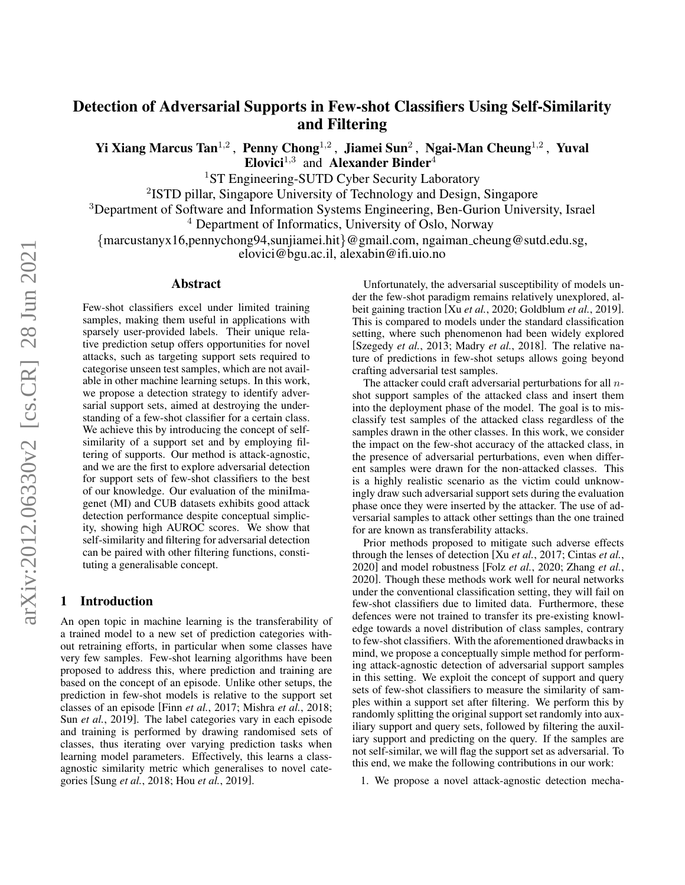# Detection of Adversarial Supports in Few-shot Classifiers Using Self-Similarity and Filtering

Yi Xiang Marcus Tan<sup>1,2</sup>, Penny Chong<sup>1,2</sup>, Jiamei Sun<sup>2</sup>, Ngai-Man Cheung<sup>1,2</sup>, Yuval Elovici<sup>1,3</sup> and Alexander Binder<sup>4</sup>

<sup>1</sup>ST Engineering-SUTD Cyber Security Laboratory

<sup>2</sup>ISTD pillar, Singapore University of Technology and Design, Singapore

<sup>3</sup>Department of Software and Information Systems Engineering, Ben-Gurion University, Israel

<sup>4</sup> Department of Informatics, University of Oslo, Norway

{marcustanyx16,pennychong94,sunjiamei.hit}@gmail.com, ngaiman cheung@sutd.edu.sg,

elovici@bgu.ac.il, alexabin@ifi.uio.no

#### Abstract

Few-shot classifiers excel under limited training samples, making them useful in applications with sparsely user-provided labels. Their unique relative prediction setup offers opportunities for novel attacks, such as targeting support sets required to categorise unseen test samples, which are not available in other machine learning setups. In this work, we propose a detection strategy to identify adversarial support sets, aimed at destroying the understanding of a few-shot classifier for a certain class. We achieve this by introducing the concept of selfsimilarity of a support set and by employing filtering of supports. Our method is attack-agnostic, and we are the first to explore adversarial detection for support sets of few-shot classifiers to the best of our knowledge. Our evaluation of the miniImagenet (MI) and CUB datasets exhibits good attack detection performance despite conceptual simplicity, showing high AUROC scores. We show that self-similarity and filtering for adversarial detection can be paired with other filtering functions, constituting a generalisable concept.

## 1 Introduction

An open topic in machine learning is the transferability of a trained model to a new set of prediction categories without retraining efforts, in particular when some classes have very few samples. Few-shot learning algorithms have been proposed to address this, where prediction and training are based on the concept of an episode. Unlike other setups, the prediction in few-shot models is relative to the support set classes of an episode [Finn *et al.*[, 2017;](#page-6-0) [Mishra](#page-6-1) *et al.*, 2018; Sun *et al.*[, 2019\]](#page-6-2). The label categories vary in each episode and training is performed by drawing randomised sets of classes, thus iterating over varying prediction tasks when learning model parameters. Effectively, this learns a classagnostic similarity metric which generalises to novel categories [Sung *et al.*[, 2018;](#page-6-3) Hou *et al.*[, 2019\]](#page-6-4).

Unfortunately, the adversarial susceptibility of models under the few-shot paradigm remains relatively unexplored, albeit gaining traction [Xu *et al.*[, 2020;](#page-6-5) [Goldblum](#page-6-6) *et al.*, 2019]. This is compared to models under the standard classification setting, where such phenomenon had been widely explored [\[Szegedy](#page-6-7) *et al.*, 2013; Madry *et al.*[, 2018\]](#page-6-8). The relative nature of predictions in few-shot setups allows going beyond crafting adversarial test samples.

The attacker could craft adversarial perturbations for all  $n$ shot support samples of the attacked class and insert them into the deployment phase of the model. The goal is to misclassify test samples of the attacked class regardless of the samples drawn in the other classes. In this work, we consider the impact on the few-shot accuracy of the attacked class, in the presence of adversarial perturbations, even when different samples were drawn for the non-attacked classes. This is a highly realistic scenario as the victim could unknowingly draw such adversarial support sets during the evaluation phase once they were inserted by the attacker. The use of adversarial samples to attack other settings than the one trained for are known as transferability attacks.

Prior methods proposed to mitigate such adverse effects through the lenses of detection [Xu *et al.*[, 2017;](#page-6-9) [Cintas](#page-6-10) *et al.*, [2020\]](#page-6-10) and model robustness [Folz *et al.*[, 2020;](#page-6-11) [Zhang](#page-6-12) *et al.*, [2020\]](#page-6-12). Though these methods work well for neural networks under the conventional classification setting, they will fail on few-shot classifiers due to limited data. Furthermore, these defences were not trained to transfer its pre-existing knowledge towards a novel distribution of class samples, contrary to few-shot classifiers. With the aforementioned drawbacks in mind, we propose a conceptually simple method for performing attack-agnostic detection of adversarial support samples in this setting. We exploit the concept of support and query sets of few-shot classifiers to measure the similarity of samples within a support set after filtering. We perform this by randomly splitting the original support set randomly into auxiliary support and query sets, followed by filtering the auxiliary support and predicting on the query. If the samples are not self-similar, we will flag the support set as adversarial. To this end, we make the following contributions in our work:

1. We propose a novel attack-agnostic detection mecha-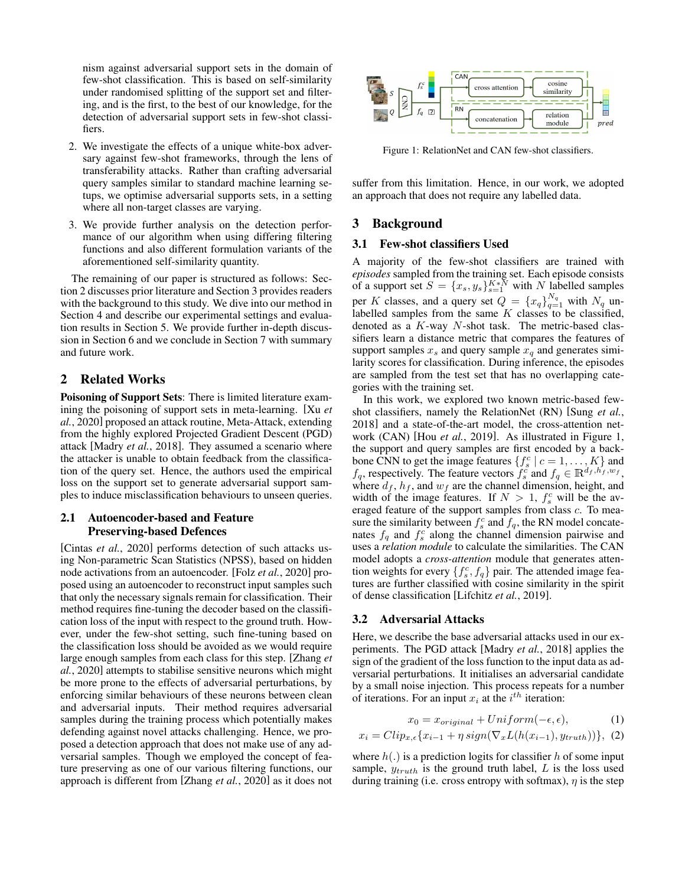nism against adversarial support sets in the domain of few-shot classification. This is based on self-similarity under randomised splitting of the support set and filtering, and is the first, to the best of our knowledge, for the detection of adversarial support sets in few-shot classifiers.

- 2. We investigate the effects of a unique white-box adversary against few-shot frameworks, through the lens of transferability attacks. Rather than crafting adversarial query samples similar to standard machine learning setups, we optimise adversarial supports sets, in a setting where all non-target classes are varying.
- 3. We provide further analysis on the detection performance of our algorithm when using differing filtering functions and also different formulation variants of the aforementioned self-similarity quantity.

The remaining of our paper is structured as follows: Section [2](#page-1-0) discusses prior literature and Section [3](#page-1-1) provides readers with the background to this study. We dive into our method in Section [4](#page-2-0) and describe our experimental settings and evaluation results in Section [5.](#page-3-0) We provide further in-depth discussion in Section [6](#page-4-0) and we conclude in Section [7](#page-5-0) with summary and future work.

## <span id="page-1-0"></span>2 Related Works

Poisoning of Support Sets: There is limited literature examining the poisoning of support sets in meta-learning. [\[Xu](#page-6-5) *et al.*[, 2020\]](#page-6-5) proposed an attack routine, Meta-Attack, extending from the highly explored Projected Gradient Descent (PGD) attack [\[Madry](#page-6-8) *et al.*, 2018]. They assumed a scenario where the attacker is unable to obtain feedback from the classification of the query set. Hence, the authors used the empirical loss on the support set to generate adversarial support samples to induce misclassification behaviours to unseen queries.

#### 2.1 Autoencoder-based and Feature Preserving-based Defences

[Cintas *et al.*[, 2020\]](#page-6-10) performs detection of such attacks using Non-parametric Scan Statistics (NPSS), based on hidden node activations from an autoencoder. [Folz *et al.*[, 2020\]](#page-6-11) proposed using an autoencoder to reconstruct input samples such that only the necessary signals remain for classification. Their method requires fine-tuning the decoder based on the classification loss of the input with respect to the ground truth. However, under the few-shot setting, such fine-tuning based on the classification loss should be avoided as we would require large enough samples from each class for this step. [\[Zhang](#page-6-12) *et al.*[, 2020\]](#page-6-12) attempts to stabilise sensitive neurons which might be more prone to the effects of adversarial perturbations, by enforcing similar behaviours of these neurons between clean and adversarial inputs. Their method requires adversarial samples during the training process which potentially makes defending against novel attacks challenging. Hence, we proposed a detection approach that does not make use of any adversarial samples. Though we employed the concept of feature preserving as one of our various filtering functions, our approach is different from [\[Zhang](#page-6-12) *et al.*, 2020] as it does not

<span id="page-1-2"></span>

Figure 1: RelationNet and CAN few-shot classifiers.

suffer from this limitation. Hence, in our work, we adopted an approach that does not require any labelled data.

## <span id="page-1-1"></span>3 Background

#### 3.1 Few-shot classifiers Used

A majority of the few-shot classifiers are trained with *episodes* sampled from the training set. Each episode consists of a support set  $S = \{x_s, y_s\}_{s=1}^{K * \bar{N}}$  with N labelled samples per K classes, and a query set  $Q = \{x_q\}_{q=1}^{N_q}$  with  $N_q$  unlabelled samples from the same  $K$  classes to be classified, denoted as a  $K$ -way  $N$ -shot task. The metric-based classifiers learn a distance metric that compares the features of support samples  $x_s$  and query sample  $x_q$  and generates similarity scores for classification. During inference, the episodes are sampled from the test set that has no overlapping categories with the training set.

In this work, we explored two known metric-based fewshot classifiers, namely the RelationNet (RN) [\[Sung](#page-6-3) *et al.*, [2018\]](#page-6-3) and a state-of-the-art model, the cross-attention network (CAN) [Hou *et al.*[, 2019\]](#page-6-4). As illustrated in Figure [1,](#page-1-2) the support and query samples are first encoded by a backbone CNN to get the image features  $\{f_s^c \mid c = 1, \ldots, K\}$  and  $f_q$ , respectively. The feature vectors  $\ddot{f}_s^c$  and  $f_q \in \mathbb{R}^{d_f, h'_f, w_f}$ , where  $d_f$ ,  $h_f$ , and  $w_f$  are the channel dimension, height, and width of the image features. If  $N > 1$ ,  $f_s^c$  will be the averaged feature of the support samples from class c. To measure the similarity between  $f_s^c$  and  $f_q$ , the RN model concatenates  $f_q$  and  $f_s^c$  along the channel dimension pairwise and uses a *relation module* to calculate the similarities. The CAN model adopts a *cross-attention* module that generates attention weights for every  $\{f_s^c, f_q\}$  pair. The attended image features are further classified with cosine similarity in the spirit of dense classification [\[Lifchitz](#page-6-13) *et al.*, 2019].

## 3.2 Adversarial Attacks

Here, we describe the base adversarial attacks used in our experiments. The PGD attack [\[Madry](#page-6-8) *et al.*, 2018] applies the sign of the gradient of the loss function to the input data as adversarial perturbations. It initialises an adversarial candidate by a small noise injection. This process repeats for a number of iterations. For an input  $x_i$  at the  $i^{th}$  iteration:

<span id="page-1-3"></span>
$$
x_0 = x_{original} + Uniform(-\epsilon, \epsilon), \tag{1}
$$

$$
x_i = Clip_{x,\epsilon}\lbrace x_{i-1} + \eta \, sign(\nabla_x L(h(x_{i-1}), y_{truth}))\rbrace, \tag{2}
$$

where  $h(.)$  is a prediction logits for classifier h of some input sample,  $y_{truth}$  is the ground truth label, L is the loss used during training (i.e. cross entropy with softmax),  $\eta$  is the step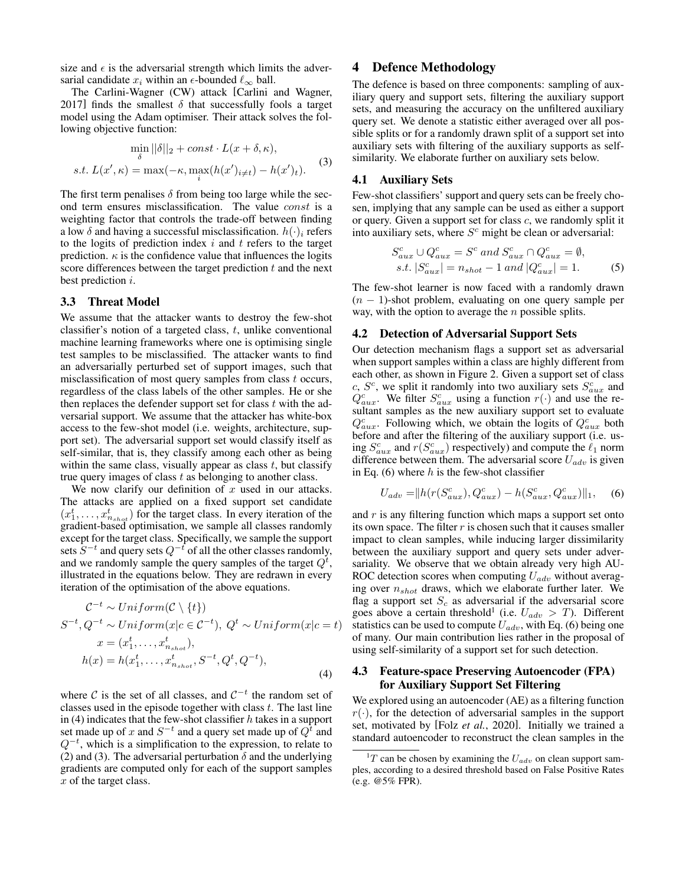size and  $\epsilon$  is the adversarial strength which limits the adversarial candidate  $x_i$  within an  $\epsilon$ -bounded  $\ell_{\infty}$  ball.

The Carlini-Wagner (CW) attack [\[Carlini and Wagner,](#page-6-14) [2017\]](#page-6-14) finds the smallest  $\delta$  that successfully fools a target model using the Adam optimiser. Their attack solves the following objective function:

<span id="page-2-2"></span>
$$
\min_{\delta} ||\delta||_2 + const \cdot L(x + \delta, \kappa),
$$
  
s.t.  $L(x', \kappa) = \max(-\kappa, \max_i(h(x')_{i \neq t}) - h(x')_t).$  (3)

The first term penalises  $\delta$  from being too large while the second term ensures misclassification. The value const is a weighting factor that controls the trade-off between finding a low  $\delta$  and having a successful misclassification.  $h(\cdot)_i$  refers to the logits of prediction index  $i$  and  $t$  refers to the target prediction.  $\kappa$  is the confidence value that influences the logits score differences between the target prediction  $t$  and the next best prediction i.

#### 3.3 Threat Model

We assume that the attacker wants to destroy the few-shot classifier's notion of a targeted class,  $t$ , unlike conventional machine learning frameworks where one is optimising single test samples to be misclassified. The attacker wants to find an adversarially perturbed set of support images, such that misclassification of most query samples from class  $t$  occurs, regardless of the class labels of the other samples. He or she then replaces the defender support set for class  $t$  with the adversarial support. We assume that the attacker has white-box access to the few-shot model (i.e. weights, architecture, support set). The adversarial support set would classify itself as self-similar, that is, they classify among each other as being within the same class, visually appear as class  $t$ , but classify true query images of class  $t$  as belonging to another class.

We now clarify our definition of  $x$  used in our attacks. The attacks are applied on a fixed support set candidate  $(x_1^t, \ldots, x_{n_{shot}}^t)$  for the target class. In every iteration of the gradient-based optimisation, we sample all classes randomly except for the target class. Specifically, we sample the support sets  $S^{-t}$  and query sets  $Q^{-t}$  of all the other classes randomly, and we randomly sample the query samples of the target  $Q<sup>t</sup>$ , illustrated in the equations below. They are redrawn in every iteration of the optimisation of the above equations.

$$
C^{-t} \sim Uniform(C \setminus \{t\})
$$
  
\n
$$
S^{-t}, Q^{-t} \sim Uniform(x|c \in C^{-t}), Q^{t} \sim Uniform(x|c = t)
$$
  
\n
$$
x = (x_1^{t}, \dots, x_{n_{shot}}^{t}),
$$
  
\n
$$
h(x) = h(x_1^{t}, \dots, x_{n_{shot}}^{t}, S^{-t}, Q^{t}, Q^{-t}),
$$
  
\n(4)

where  $\mathcal C$  is the set of all classes, and  $\mathcal C^{-t}$  the random set of classes used in the episode together with class  $t$ . The last line in [\(4\)](#page-2-1) indicates that the few-shot classifier  $h$  takes in a support set made up of x and  $S^{-t}$  and a query set made up of  $Q^t$  and  $Q^{-t}$ , which is a simplification to the expression, to relate to [\(2\)](#page-1-3) and [\(3\)](#page-2-2). The adversarial perturbation  $\delta$  and the underlying gradients are computed only for each of the support samples x of the target class.

## <span id="page-2-0"></span>4 Defence Methodology

The defence is based on three components: sampling of auxiliary query and support sets, filtering the auxiliary support sets, and measuring the accuracy on the unfiltered auxiliary query set. We denote a statistic either averaged over all possible splits or for a randomly drawn split of a support set into auxiliary sets with filtering of the auxiliary supports as selfsimilarity. We elaborate further on auxiliary sets below.

#### 4.1 Auxiliary Sets

Few-shot classifiers' support and query sets can be freely chosen, implying that any sample can be used as either a support or query. Given a support set for class c, we randomly split it into auxiliary sets, where  $S<sup>c</sup>$  might be clean or adversarial:

$$
S_{aux}^c \cup Q_{aux}^c = S^c \text{ and } S_{aux}^c \cap Q_{aux}^c = \emptyset,
$$
  
s.t.  $|S_{aux}^c| = n_{shot} - 1 \text{ and } |Q_{aux}^c| = 1.$  (5)

The few-shot learner is now faced with a randomly drawn  $(n - 1)$ -shot problem, evaluating on one query sample per way, with the option to average the  $n$  possible splits.

#### <span id="page-2-5"></span>4.2 Detection of Adversarial Support Sets

Our detection mechanism flags a support set as adversarial when support samples within a class are highly different from each other, as shown in Figure [2.](#page-3-1) Given a support set of class c,  $S^c$ , we split it randomly into two auxiliary sets  $S^c_{aux}$  and  $Q_{aux}^c$ . We filter  $S_{aux}^c$  using a function  $r(\cdot)$  and use the resultant samples as the new auxiliary support set to evaluate  $Q_{aux}^c$ . Following which, we obtain the logits of  $Q_{aux}^c$  both before and after the filtering of the auxiliary support (i.e. using  $S_{aux}^c$  and  $r(S_{aux}^c)$  respectively) and compute the  $\ell_1$  norm difference between them. The adversarial score  $U_{adv}$  is given in Eq. [\(6\)](#page-2-3) where  $h$  is the few-shot classifier

<span id="page-2-3"></span>
$$
U_{adv} = ||h(r(S_{aux}^c), Q_{aux}^c) - h(S_{aux}^c, Q_{aux}^c)||_1, \quad (6)
$$

<span id="page-2-1"></span>and  $r$  is any filtering function which maps a support set onto its own space. The filter  $r$  is chosen such that it causes smaller impact to clean samples, while inducing larger dissimilarity between the auxiliary support and query sets under adversariality. We observe that we obtain already very high AU-ROC detection scores when computing  $U_{adv}$  without averaging over  $n_{shot}$  draws, which we elaborate further later. We flag a support set  $S_c$  as adversarial if the adversarial score goes above a certain threshold<sup>[1](#page-2-4)</sup> (i.e.  $U_{adv} > T$ ). Different statistics can be used to compute  $U_{adv}$ , with Eq. [\(6\)](#page-2-3) being one of many. Our main contribution lies rather in the proposal of using self-similarity of a support set for such detection.

## 4.3 Feature-space Preserving Autoencoder (FPA) for Auxiliary Support Set Filtering

We explored using an autoencoder (AE) as a filtering function  $r(\cdot)$ , for the detection of adversarial samples in the support set, motivated by [Folz *et al.*[, 2020\]](#page-6-11). Initially we trained a standard autoencoder to reconstruct the clean samples in the

<span id="page-2-4"></span> ${}^{1}T$  can be chosen by examining the  $U_{adv}$  on clean support samples, according to a desired threshold based on False Positive Rates (e.g. @5% FPR).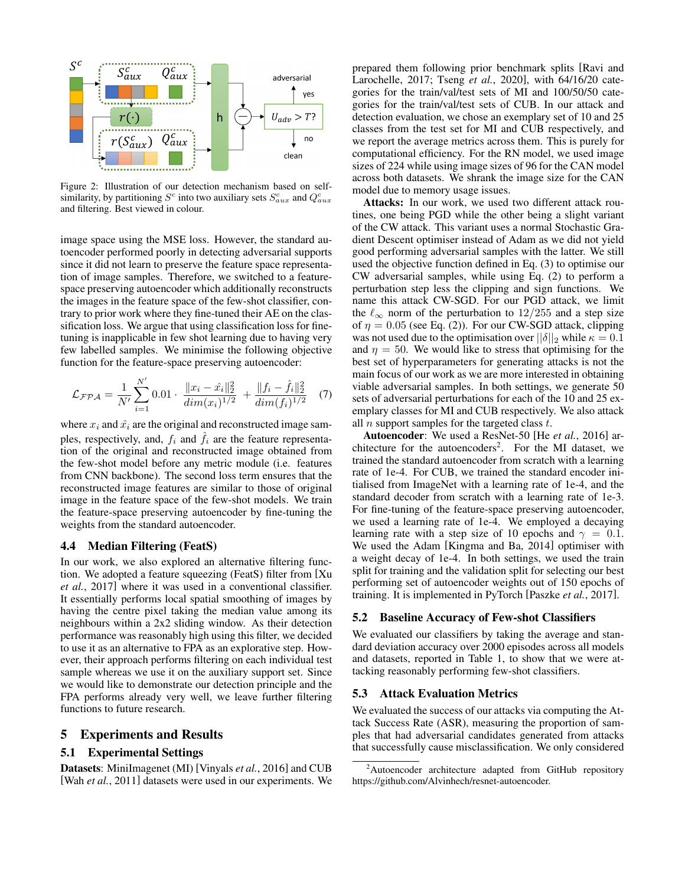<span id="page-3-1"></span>

Figure 2: Illustration of our detection mechanism based on selfsimilarity, by partitioning  $S^c$  into two auxiliary sets  $S^c_{aux}$  and  $Q^c_{aux}$ and filtering. Best viewed in colour.

image space using the MSE loss. However, the standard autoencoder performed poorly in detecting adversarial supports since it did not learn to preserve the feature space representation of image samples. Therefore, we switched to a featurespace preserving autoencoder which additionally reconstructs the images in the feature space of the few-shot classifier, contrary to prior work where they fine-tuned their AE on the classification loss. We argue that using classification loss for finetuning is inapplicable in few shot learning due to having very few labelled samples. We minimise the following objective function for the feature-space preserving autoencoder:

$$
\mathcal{L}_{\mathcal{FPA}} = \frac{1}{N'} \sum_{i=1}^{N'} 0.01 \cdot \frac{\|x_i - \hat{x}_i\|_2^2}{\dim(x_i)^{1/2}} + \frac{\|f_i - \hat{f}_i\|_2^2}{\dim(f_i)^{1/2}} \tag{7}
$$

where  $x_i$  and  $\hat{x_i}$  are the original and reconstructed image samples, respectively, and,  $f_i$  and  $\tilde{f}_i$  are the feature representation of the original and reconstructed image obtained from the few-shot model before any metric module (i.e. features from CNN backbone). The second loss term ensures that the reconstructed image features are similar to those of original image in the feature space of the few-shot models. We train the feature-space preserving autoencoder by fine-tuning the weights from the standard autoencoder.

#### 4.4 Median Filtering (FeatS)

In our work, we also explored an alternative filtering function. We adopted a feature squeezing (FeatS) filter from [\[Xu](#page-6-9) *et al.*[, 2017\]](#page-6-9) where it was used in a conventional classifier. It essentially performs local spatial smoothing of images by having the centre pixel taking the median value among its neighbours within a 2x2 sliding window. As their detection performance was reasonably high using this filter, we decided to use it as an alternative to FPA as an explorative step. However, their approach performs filtering on each individual test sample whereas we use it on the auxiliary support set. Since we would like to demonstrate our detection principle and the FPA performs already very well, we leave further filtering functions to future research.

#### <span id="page-3-0"></span>5 Experiments and Results

## 5.1 Experimental Settings

Datasets: MiniImagenet (MI) [\[Vinyals](#page-6-15) *et al.*, 2016] and CUB [Wah *et al.*[, 2011\]](#page-6-16) datasets were used in our experiments. We prepared them following prior benchmark splits [\[Ravi and](#page-6-17) [Larochelle, 2017;](#page-6-17) Tseng *et al.*[, 2020\]](#page-6-18), with 64/16/20 categories for the train/val/test sets of MI and 100/50/50 categories for the train/val/test sets of CUB. In our attack and detection evaluation, we chose an exemplary set of 10 and 25 classes from the test set for MI and CUB respectively, and we report the average metrics across them. This is purely for computational efficiency. For the RN model, we used image sizes of 224 while using image sizes of 96 for the CAN model across both datasets. We shrank the image size for the CAN model due to memory usage issues.

Attacks: In our work, we used two different attack routines, one being PGD while the other being a slight variant of the CW attack. This variant uses a normal Stochastic Gradient Descent optimiser instead of Adam as we did not yield good performing adversarial samples with the latter. We still used the objective function defined in Eq. [\(3\)](#page-2-2) to optimise our CW adversarial samples, while using Eq. [\(2\)](#page-1-3) to perform a perturbation step less the clipping and sign functions. We name this attack CW-SGD. For our PGD attack, we limit the  $\ell_{\infty}$  norm of the perturbation to 12/255 and a step size of  $\eta = 0.05$  (see Eq. [\(2\)](#page-1-3)). For our CW-SGD attack, clipping was not used due to the optimisation over  $||\delta||_2$  while  $\kappa = 0.1$ and  $\eta = 50$ . We would like to stress that optimising for the best set of hyperparameters for generating attacks is not the main focus of our work as we are more interested in obtaining viable adversarial samples. In both settings, we generate 50 sets of adversarial perturbations for each of the 10 and 25 exemplary classes for MI and CUB respectively. We also attack all  $n$  support samples for the targeted class  $t$ .

<span id="page-3-3"></span>Autoencoder: We used a ResNet-50 [He *et al.*[, 2016\]](#page-6-19) ar-chitecture for the autoencoders<sup>[2](#page-3-2)</sup>. For the MI dataset, we trained the standard autoencoder from scratch with a learning rate of 1e-4. For CUB, we trained the standard encoder initialised from ImageNet with a learning rate of 1e-4, and the standard decoder from scratch with a learning rate of 1e-3. For fine-tuning of the feature-space preserving autoencoder, we used a learning rate of 1e-4. We employed a decaying learning rate with a step size of 10 epochs and  $\gamma = 0.1$ . We used the Adam [\[Kingma and Ba, 2014\]](#page-6-20) optimiser with a weight decay of 1e-4. In both settings, we used the train split for training and the validation split for selecting our best performing set of autoencoder weights out of 150 epochs of training. It is implemented in PyTorch [\[Paszke](#page-6-21) *et al.*, 2017].

#### 5.2 Baseline Accuracy of Few-shot Classifiers

We evaluated our classifiers by taking the average and standard deviation accuracy over 2000 episodes across all models and datasets, reported in Table [1,](#page-4-1) to show that we were attacking reasonably performing few-shot classifiers.

#### 5.3 Attack Evaluation Metrics

We evaluated the success of our attacks via computing the Attack Success Rate (ASR), measuring the proportion of samples that had adversarial candidates generated from attacks that successfully cause misclassification. We only considered

<span id="page-3-2"></span><sup>&</sup>lt;sup>2</sup>Autoencoder architecture adapted from GitHub repository https://github.com/Alvinhech/resnet-autoencoder.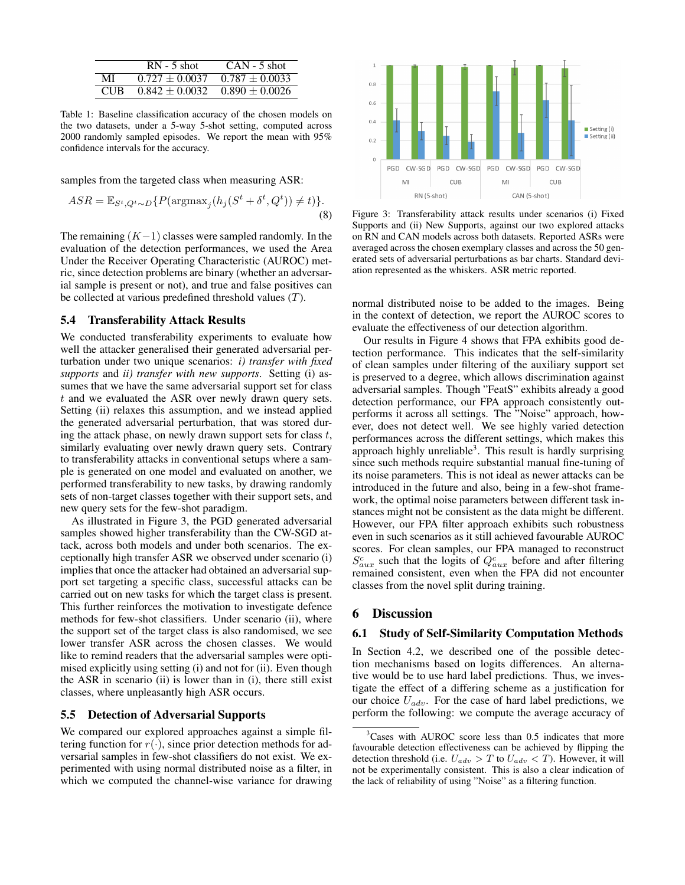<span id="page-4-1"></span>

|            | $RN - 5$ shot      | $CAN - 5$ shot     |
|------------|--------------------|--------------------|
| МĪ         | $0.727 \pm 0.0037$ | $0.787 \pm 0.0033$ |
| <b>CUR</b> | $0.842 + 0.0032$   | $0.890 + 0.0026$   |

Table 1: Baseline classification accuracy of the chosen models on the two datasets, under a 5-way 5-shot setting, computed across 2000 randomly sampled episodes. We report the mean with 95% confidence intervals for the accuracy.

samples from the targeted class when measuring ASR:

$$
ASR = \mathbb{E}_{S^t, Q^t \sim D} \{ P(\text{argmax}_j (h_j (S^t + \delta^t, Q^t)) \neq t) \}.
$$
\n(8)

The remaining  $(K-1)$  classes were sampled randomly. In the evaluation of the detection performances, we used the Area Under the Receiver Operating Characteristic (AUROC) metric, since detection problems are binary (whether an adversarial sample is present or not), and true and false positives can be collected at various predefined threshold values  $(T)$ .

#### 5.4 Transferability Attack Results

We conducted transferability experiments to evaluate how well the attacker generalised their generated adversarial perturbation under two unique scenarios: *i) transfer with fixed supports* and *ii) transfer with new supports*. Setting (i) assumes that we have the same adversarial support set for class t and we evaluated the ASR over newly drawn query sets. Setting (ii) relaxes this assumption, and we instead applied the generated adversarial perturbation, that was stored during the attack phase, on newly drawn support sets for class  $t$ , similarly evaluating over newly drawn query sets. Contrary to transferability attacks in conventional setups where a sample is generated on one model and evaluated on another, we performed transferability to new tasks, by drawing randomly sets of non-target classes together with their support sets, and new query sets for the few-shot paradigm.

As illustrated in Figure [3,](#page-4-2) the PGD generated adversarial samples showed higher transferability than the CW-SGD attack, across both models and under both scenarios. The exceptionally high transfer ASR we observed under scenario (i) implies that once the attacker had obtained an adversarial support set targeting a specific class, successful attacks can be carried out on new tasks for which the target class is present. This further reinforces the motivation to investigate defence methods for few-shot classifiers. Under scenario (ii), where the support set of the target class is also randomised, we see lower transfer ASR across the chosen classes. We would like to remind readers that the adversarial samples were optimised explicitly using setting (i) and not for (ii). Even though the ASR in scenario (ii) is lower than in (i), there still exist classes, where unpleasantly high ASR occurs.

#### 5.5 Detection of Adversarial Supports

We compared our explored approaches against a simple filtering function for  $r(\cdot)$ , since prior detection methods for adversarial samples in few-shot classifiers do not exist. We experimented with using normal distributed noise as a filter, in which we computed the channel-wise variance for drawing

<span id="page-4-2"></span>

Figure 3: Transferability attack results under scenarios (i) Fixed Supports and (ii) New Supports, against our two explored attacks on RN and CAN models across both datasets. Reported ASRs were averaged across the chosen exemplary classes and across the 50 generated sets of adversarial perturbations as bar charts. Standard deviation represented as the whiskers. ASR metric reported.

normal distributed noise to be added to the images. Being in the context of detection, we report the AUROC scores to evaluate the effectiveness of our detection algorithm.

Our results in Figure [4](#page-5-1) shows that FPA exhibits good detection performance. This indicates that the self-similarity of clean samples under filtering of the auxiliary support set is preserved to a degree, which allows discrimination against adversarial samples. Though "FeatS" exhibits already a good detection performance, our FPA approach consistently outperforms it across all settings. The "Noise" approach, however, does not detect well. We see highly varied detection performances across the different settings, which makes this approach highly unreliable<sup>[3](#page-4-3)</sup>. This result is hardly surprising since such methods require substantial manual fine-tuning of its noise parameters. This is not ideal as newer attacks can be introduced in the future and also, being in a few-shot framework, the optimal noise parameters between different task instances might not be consistent as the data might be different. However, our FPA filter approach exhibits such robustness even in such scenarios as it still achieved favourable AUROC scores. For clean samples, our FPA managed to reconstruct  $S_{aux}^c$  such that the logits of  $Q_{aux}^c$  before and after filtering remained consistent, even when the FPA did not encounter classes from the novel split during training.

## <span id="page-4-0"></span>6 Discussion

#### 6.1 Study of Self-Similarity Computation Methods

In Section [4.2,](#page-2-5) we described one of the possible detection mechanisms based on logits differences. An alternative would be to use hard label predictions. Thus, we investigate the effect of a differing scheme as a justification for our choice  $U_{adv}$ . For the case of hard label predictions, we perform the following: we compute the average accuracy of

<span id="page-4-3"></span><sup>&</sup>lt;sup>3</sup>Cases with AUROC score less than 0.5 indicates that more favourable detection effectiveness can be achieved by flipping the detection threshold (i.e.  $U_{adv} > T$  to  $U_{adv} < T$ ). However, it will not be experimentally consistent. This is also a clear indication of the lack of reliability of using "Noise" as a filtering function.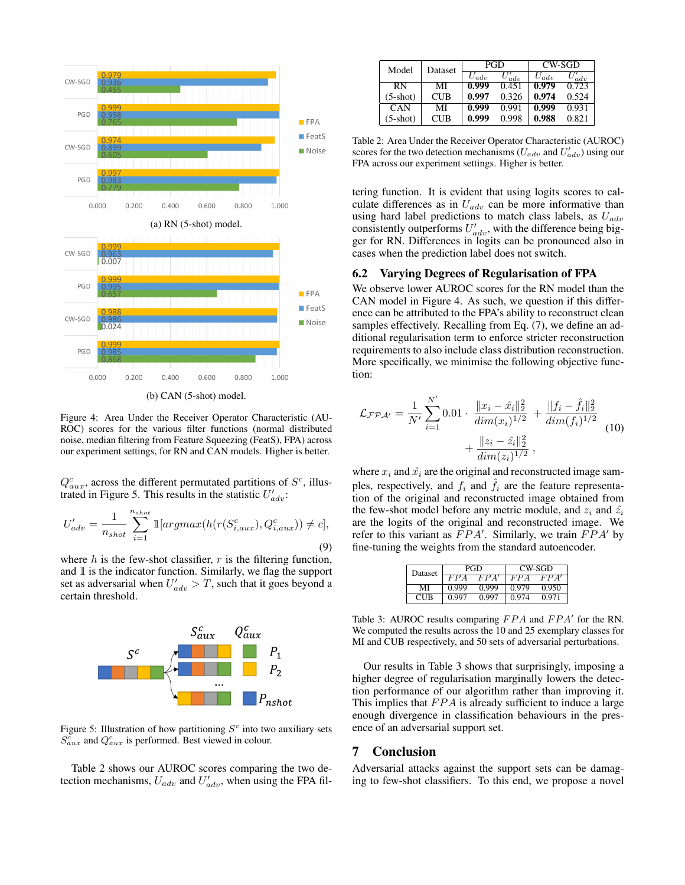<span id="page-5-1"></span>

Figure 4: Area Under the Receiver Operator Characteristic (AU-ROC) scores for the various filter functions (normal distributed noise, median filtering from Feature Squeezing (FeatS), FPA) across our experiment settings, for RN and CAN models. Higher is better.

 $Q_{aux}^c$ , across the different permutated partitions of  $S^c$ , illus-trated in Figure [5.](#page-5-2) This results in the statistic  $U'_{adv}$ :

$$
U'_{adv} = \frac{1}{n_{shot}} \sum_{i=1}^{n_{shot}} \mathbb{1}[argmax(h(r(S_{i,aux}^c), Q_{i,aux}^c)) \neq c],
$$
\n(9)

where  $h$  is the few-shot classifier,  $r$  is the filtering function, and  $1$  is the indicator function. Similarly, we flag the support set as adversarial when  $U'_{adv} > T$ , such that it goes beyond a certain threshold.

<span id="page-5-2"></span>

Figure 5: Illustration of how partitioning  $S<sup>c</sup>$  into two auxiliary sets  $S_{aux}^c$  and  $Q_{aux}^c$  is performed. Best viewed in colour.

Table [2](#page-5-3) shows our AUROC scores comparing the two detection mechanisms,  $U_{adv}$  and  $U'_{adv}$ , when using the FPA fil-

<span id="page-5-3"></span>

| Model      | Dataset    | PGD       |       | CW-SGD    |          |
|------------|------------|-----------|-------|-----------|----------|
|            |            | $U_{adv}$ | adv   | $U_{adv}$ | $_{adv}$ |
| RN         | МI         | 0.999     | 0.451 | 0.979     | 0.723    |
| $(5-shot)$ | <b>CUB</b> | 0.997     | 0.326 | 0.974     | 0.524    |
| CAN        | МI         | 0.999     | 0.991 | 0.999     | 0.931    |
| $(5-shot)$ | CUB        | 0.999     | 0.998 | 0.988     | 0.821    |

Table 2: Area Under the Receiver Operator Characteristic (AUROC) scores for the two detection mechanisms ( $U_{adv}$  and  $U'_{adv}$ ) using our FPA across our experiment settings. Higher is better.

tering function. It is evident that using logits scores to calculate differences as in  $U_{adv}$  can be more informative than using hard label predictions to match class labels, as  $U_{adv}$ consistently outperforms  $U'_{adv}$ , with the difference being bigger for RN. Differences in logits can be pronounced also in cases when the prediction label does not switch.

#### 6.2 Varying Degrees of Regularisation of FPA

We observe lower AUROC scores for the RN model than the CAN model in Figure [4.](#page-5-1) As such, we question if this difference can be attributed to the FPA's ability to reconstruct clean samples effectively. Recalling from Eq. [\(7\)](#page-3-3), we define an additional regularisation term to enforce stricter reconstruction requirements to also include class distribution reconstruction. More specifically, we minimise the following objective function:

$$
\mathcal{L}_{\mathcal{F} \mathcal{P} \mathcal{A}'} = \frac{1}{N'} \sum_{i=1}^{N'} 0.01 \cdot \frac{\|x_i - \hat{x}_i\|_2^2}{\dim(x_i)^{1/2}} + \frac{\|f_i - \hat{f}_i\|_2^2}{\dim(f_i)^{1/2}} + \frac{\|z_i - \hat{z}_i\|_2^2}{\dim(z_i)^{1/2}},
$$
\n(10)

where  $x_i$  and  $\hat{x_i}$  are the original and reconstructed image samples, respectively, and  $f_i$  and  $\hat{f}_i$  are the feature representation of the original and reconstructed image obtained from the few-shot model before any metric module, and  $z_i$  and  $\hat{z_i}$ are the logits of the original and reconstructed image. We refer to this variant as  $FPA'$ . Similarly, we train  $FPA'$  by fine-tuning the weights from the standard autoencoder.

<span id="page-5-4"></span>

| Dataset    |       | PGD   | CW-SGD |       |  |
|------------|-------|-------|--------|-------|--|
|            | FΡ    |       | FΡ     | A     |  |
| MI         | 0.999 | 0.999 | 0.979  | 0.950 |  |
| <b>CUR</b> | 0.997 | 0.997 | 0 974  | 0 971 |  |

Table 3: AUROC results comparing  $FPA$  and  $FPA'$  for the RN. We computed the results across the 10 and 25 exemplary classes for MI and CUB respectively, and 50 sets of adversarial perturbations.

Our results in Table [3](#page-5-4) shows that surprisingly, imposing a higher degree of regularisation marginally lowers the detection performance of our algorithm rather than improving it. This implies that  $FPA$  is already sufficient to induce a large enough divergence in classification behaviours in the presence of an adversarial support set.

#### <span id="page-5-0"></span>7 Conclusion

Adversarial attacks against the support sets can be damaging to few-shot classifiers. To this end, we propose a novel